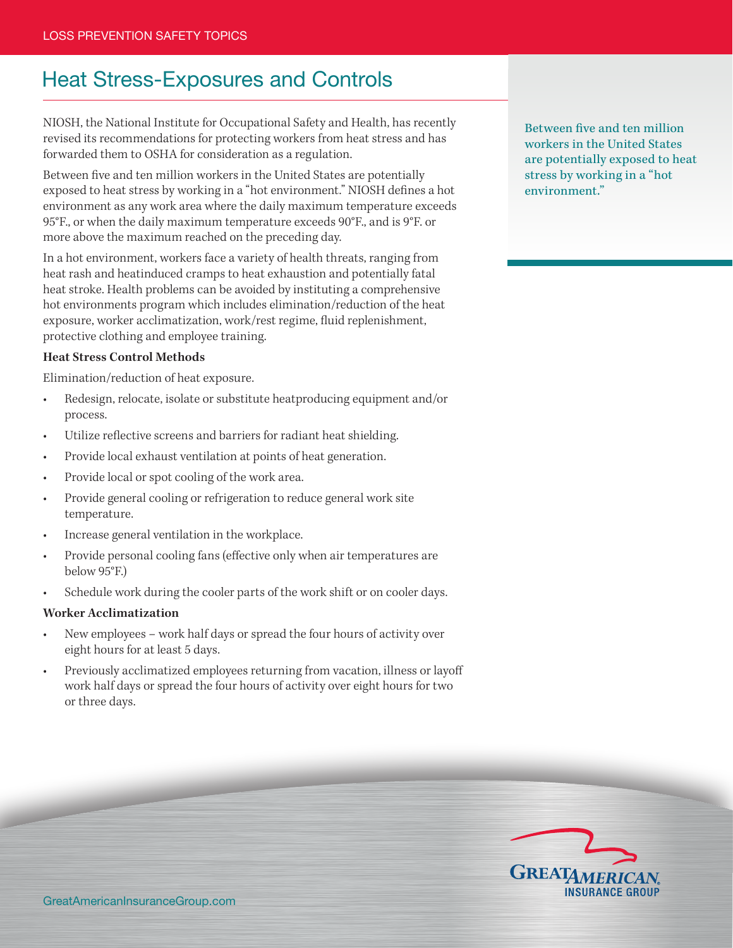# Heat Stress-Exposures and Controls

NIOSH, the National Institute for Occupational Safety and Health, has recently revised its recommendations for protecting workers from heat stress and has forwarded them to OSHA for consideration as a regulation.

Between five and ten million workers in the United States are potentially exposed to heat stress by working in a "hot environment." NIOSH defines a hot environment as any work area where the daily maximum temperature exceeds 95°F., or when the daily maximum temperature exceeds 90°F., and is 9°F. or more above the maximum reached on the preceding day.

In a hot environment, workers face a variety of health threats, ranging from heat rash and heatinduced cramps to heat exhaustion and potentially fatal heat stroke. Health problems can be avoided by instituting a comprehensive hot environments program which includes elimination/reduction of the heat exposure, worker acclimatization, work/rest regime, fluid replenishment, protective clothing and employee training.

#### **Heat Stress Control Methods**

Elimination/reduction of heat exposure.

- • Redesign, relocate, isolate or substitute heatproducing equipment and/or process.
- Utilize reflective screens and barriers for radiant heat shielding.
- Provide local exhaust ventilation at points of heat generation.
- Provide local or spot cooling of the work area.
- Provide general cooling or refrigeration to reduce general work site temperature.
- Increase general ventilation in the workplace.
- Provide personal cooling fans (effective only when air temperatures are below 95°F.)
- Schedule work during the cooler parts of the work shift or on cooler days.

#### **Worker Acclimatization**

- New employees work half days or spread the four hours of activity over eight hours for at least 5 days.
- Previously acclimatized employees returning from vacation, illness or layoff work half days or spread the four hours of activity over eight hours for two or three days.

Between five and ten million workers in the United States are potentially exposed to heat stress by working in a "hot environment."